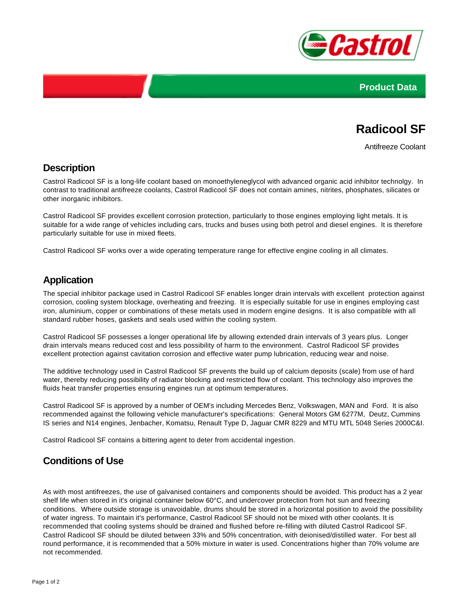



# **Radicool SF**

Antifreeze Coolant

#### **Description**

Castrol Radicool SF is a long-life coolant based on monoethyleneglycol with advanced organic acid inhibitor technolgy. In contrast to traditional antifreeze coolants, Castrol Radicool SF does not contain amines, nitrites, phosphates, silicates or other inorganic inhibitors.

Castrol Radicool SF provides excellent corrosion protection, particularly to those engines employing light metals. It is suitable for a wide range of vehicles including cars, trucks and buses using both petrol and diesel engines. It is therefore particularly suitable for use in mixed fleets.

Castrol Radicool SF works over a wide operating temperature range for effective engine cooling in all climates.

#### **Application**

The special inhibitor package used in Castrol Radicool SF enables longer drain intervals with excellent protection against corrosion, cooling system blockage, overheating and freezing. It is especially suitable for use in engines employing cast iron, aluminium, copper or combinations of these metals used in modern engine designs. It is also compatible with all standard rubber hoses, gaskets and seals used within the cooling system.

Castrol Radicool SF possesses a longer operational life by allowing extended drain intervals of 3 years plus. Longer drain intervals means reduced cost and less possibility of harm to the environment. Castrol Radicool SF provides excellent protection against cavitation corrosion and effective water pump lubrication, reducing wear and noise.

The additive technology used in Castrol Radicool SF prevents the build up of calcium deposits (scale) from use of hard water, thereby reducing possibility of radiator blocking and restricted flow of coolant. This technology also improves the fluids heat transfer properties ensuring engines run at optimum temperatures.

Castrol Radicool SF is approved by a number of OEM's including Mercedes Benz, Volkswagen, MAN and Ford. It is also recommended against the following vehicle manufacturer's specifications: General Motors GM 6277M, Deutz, Cummins IS series and N14 engines, Jenbacher, Komatsu, Renault Type D, Jaguar CMR 8229 and MTU MTL 5048 Series 2000C&I.

Castrol Radicool SF contains a bittering agent to deter from accidental ingestion.

### **Conditions of Use**

As with most antifreezes, the use of galvanised containers and components should be avoided. This product has a 2 year shelf life when stored in it's original container below 60°C, and undercover protection from hot sun and freezing conditions. Where outside storage is unavoidable, drums should be stored in a horizontal position to avoid the possibility of water ingress. To maintain it's performance, Castrol Radicool SF should not be mixed with other coolants. It is recommended that cooling systems should be drained and flushed before re-filling with diluted Castrol Radicool SF. Castrol Radicool SF should be diluted between 33% and 50% concentration, with deionised/distilled water. For best all round performance, it is recommended that a 50% mixture in water is used. Concentrations higher than 70% volume are not recommended.